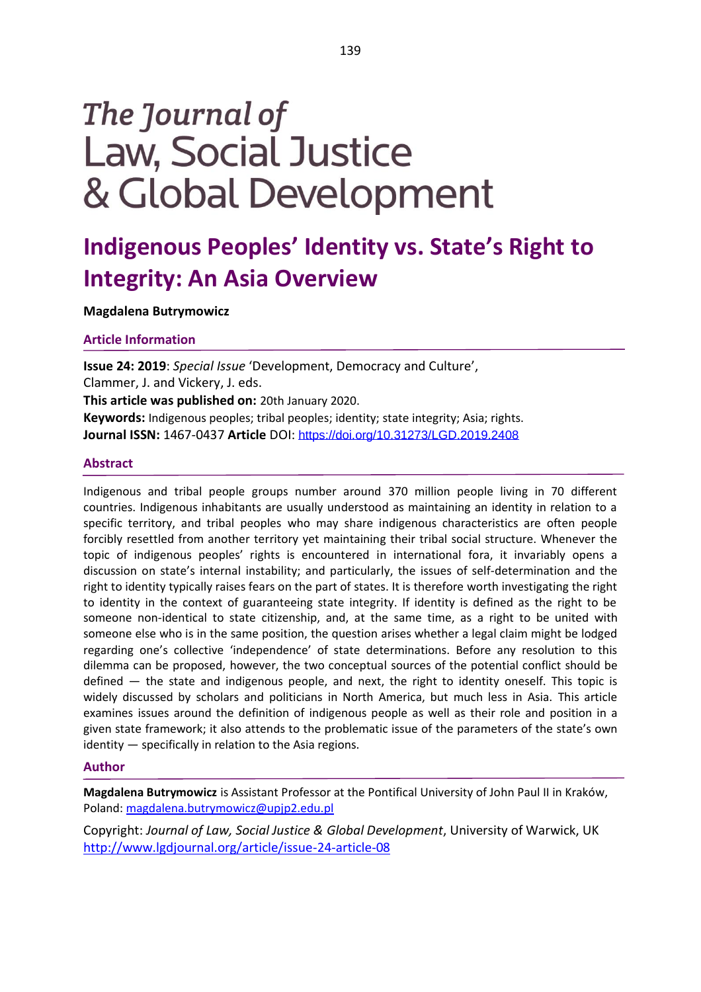# The Journal of **Law, Social Justice** & Global Development

# **Indigenous Peoples' Identity vs. State's Right to Integrity: An Asia Overview**

**Magdalena Butrymowicz**

**Article Information**

**Issue 24: 2019**: *Special Issue* 'Development, Democracy and Culture', Clammer, J. and Vickery, J. eds. **This article was published on:** 20th January 2020.

**Keywords:** Indigenous peoples; tribal peoples; identity; state integrity; Asia; rights. **Journal ISSN:** 1467-0437 **Article** DOI: <https://doi.org/10.31273/LGD.2019.2408>

# **Abstract**

Indigenous and tribal people groups number around 370 million people living in 70 different countries. Indigenous inhabitants are usually understood as maintaining an identity in relation to a specific territory, and tribal peoples who may share indigenous characteristics are often people forcibly resettled from another territory yet maintaining their tribal social structure. Whenever the topic of indigenous peoples' rights is encountered in international fora, it invariably opens a discussion on state's internal instability; and particularly, the issues of self-determination and the right to identity typically raises fears on the part of states. It is therefore worth investigating the right to identity in the context of guaranteeing state integrity. If identity is defined as the right to be someone non-identical to state citizenship, and, at the same time, as a right to be united with someone else who is in the same position, the question arises whether a legal claim might be lodged regarding one's collective 'independence' of state determinations. Before any resolution to this dilemma can be proposed, however, the two conceptual sources of the potential conflict should be defined — the state and indigenous people, and next, the right to identity oneself. This topic is widely discussed by scholars and politicians in North America, but much less in Asia. This article examines issues around the definition of indigenous people as well as their role and position in a given state framework; it also attends to the problematic issue of the parameters of the state's own identity — specifically in relation to the Asia regions.

### **Author**

**Magdalena Butrymowicz** is Assistant Professor at the Pontifical University of John Paul II in Kraków, Poland: [magdalena.butrymowicz@upjp2.edu.pl](mailto:magdalena.butrymowicz@upjp2.edu.pl)

Copyright: *Journal of Law, Social Justice & Global Development*, University of Warwick, UK <http://www.lgdjournal.org/article/issue-24-article-08>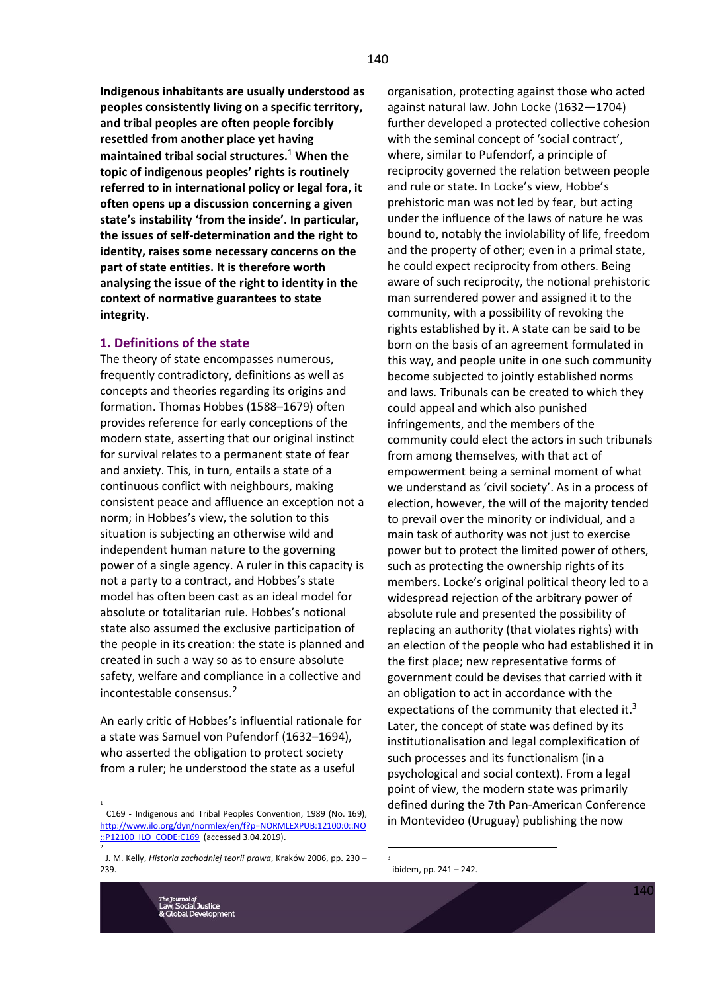**Indigenous inhabitants are usually understood as peoples consistently living on a specific territory, and tribal peoples are often people forcibly resettled from another place yet having maintained tribal social structures.**<sup>1</sup> **When the topic of indigenous peoples' rights is routinely referred to in international policy or legal fora, it often opens up a discussion concerning a given state's instability 'from the inside'. In particular, the issues of self-determination and the right to identity, raises some necessary concerns on the part of state entities. It is therefore worth analysing the issue of the right to identity in the context of normative guarantees to state integrity**.

#### **1. Definitions of the state**

The theory of state encompasses numerous, frequently contradictory, definitions as well as concepts and theories regarding its origins and formation. Thomas Hobbes (1588–1679) often provides reference for early conceptions of the modern state, asserting that our original instinct for survival relates to a permanent state of fear and anxiety. This, in turn, entails a state of a continuous conflict with neighbours, making consistent peace and affluence an exception not a norm; in Hobbes's view, the solution to this situation is subjecting an otherwise wild and independent human nature to the governing power of a single agency. A ruler in this capacity is not a party to a contract, and Hobbes's state model has often been cast as an ideal model for absolute or totalitarian rule. Hobbes's notional state also assumed the exclusive participation of the people in its creation: the state is planned and created in such a way so as to ensure absolute safety, welfare and compliance in a collective and incontestable consensus. 2

An early critic of Hobbes's influential rationale for a state was Samuel von Pufendorf (1632–1694), who asserted the obligation to protect society from a ruler; he understood the state as a useful

organisation, protecting against those who acted against natural law. John Locke (1632—1704) further developed a protected collective cohesion with the seminal concept of 'social contract', where, similar to Pufendorf, a principle of reciprocity governed the relation between people and rule or state. In Locke's view, Hobbe's prehistoric man was not led by fear, but acting under the influence of the laws of nature he was bound to, notably the inviolability of life, freedom and the property of other; even in a primal state, he could expect reciprocity from others. Being aware of such reciprocity, the notional prehistoric man surrendered power and assigned it to the community, with a possibility of revoking the rights established by it. A state can be said to be born on the basis of an agreement formulated in this way, and people unite in one such community become subjected to jointly established norms and laws. Tribunals can be created to which they could appeal and which also punished infringements, and the members of the community could elect the actors in such tribunals from among themselves, with that act of empowerment being a seminal moment of what we understand as 'civil society'. As in a process of election, however, the will of the majority tended to prevail over the minority or individual, and a main task of authority was not just to exercise power but to protect the limited power of others, such as protecting the ownership rights of its members. Locke's original political theory led to a widespread rejection of the arbitrary power of absolute rule and presented the possibility of replacing an authority (that violates rights) with an election of the people who had established it in the first place; new representative forms of government could be devises that carried with it an obligation to act in accordance with the expectations of the community that elected it.<sup>3</sup> Later, the concept of state was defined by its institutionalisation and legal complexification of such processes and its functionalism (in a psychological and social context). From a legal point of view, the modern state was primarily defined during the 7th Pan-American Conference in Montevideo (Uruguay) publishing the now

1

C169 - Indigenous and Tribal Peoples Convention, 1989 (No. 169), [http://www.ilo.org/dyn/normlex/en/f?p=NORMLEXPUB:12100:0::NO](http://www.ilo.org/dyn/normlex/en/f?p=NORMLEXPUB:12100:0::NO::P12100_ILO_CODE:C169) [::P12100\\_ILO\\_CODE:C169](http://www.ilo.org/dyn/normlex/en/f?p=NORMLEXPUB:12100:0::NO::P12100_ILO_CODE:C169) (accessed 3.04.2019).

J. M. Kelly, *Historia zachodniej teorii prawa*, Kraków 2006, pp. 230 – 239.

<sup>3</sup> ibidem, pp. 241 – 242.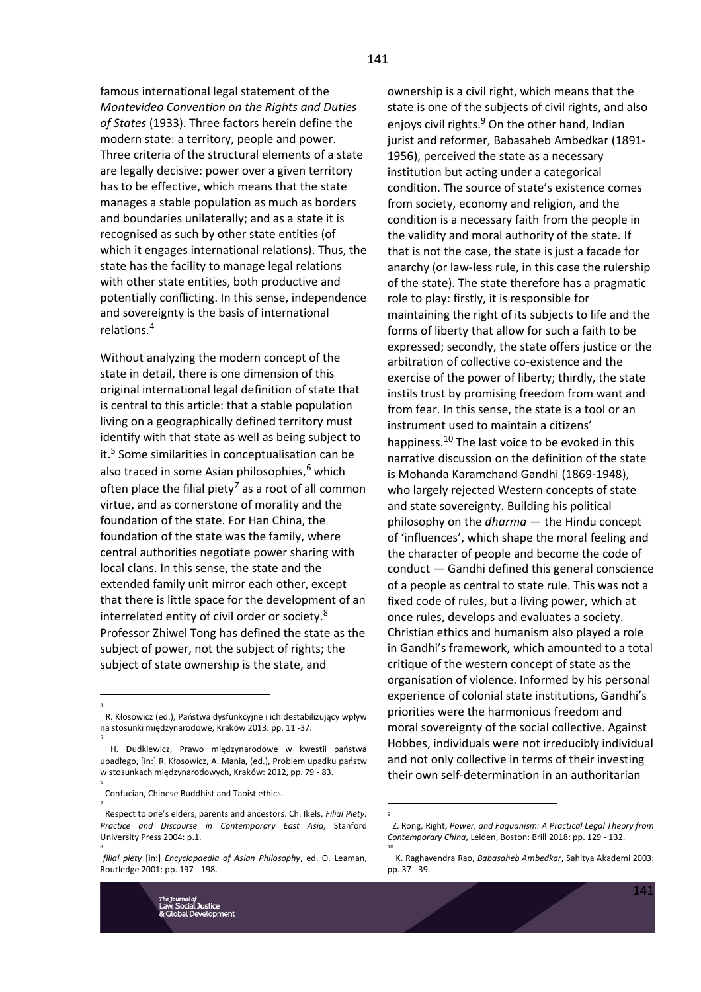famous international legal statement of the *Montevideo Convention on the Rights and Duties of States* (1933). Three factors herein define the modern state: a territory, people and power. Three criteria of the structural elements of a state are legally decisive: power over a given territory has to be effective, which means that the state manages a stable population as much as borders and boundaries unilaterally; and as a state it is recognised as such by other state entities (of which it engages international relations). Thus, the state has the facility to manage legal relations with other state entities, both productive and potentially conflicting. In this sense, independence and sovereignty is the basis of international relations. 4

Without analyzing the modern concept of the state in detail, there is one dimension of this original international legal definition of state that is central to this article: that a stable population living on a geographically defined territory must identify with that state as well as being subject to it. 5 Some similarities in conceptualisation can be also traced in some Asian philosophies,<sup>6</sup> which often place the filial piety*<sup>7</sup>* as a root of all common virtue, and as cornerstone of morality and the foundation of the state. For Han China, the foundation of the state was the family, where central authorities negotiate power sharing with local clans. In this sense, the state and the extended family unit mirror each other, except that there is little space for the development of an interrelated entity of civil order or society.<sup>8</sup> Professor Zhiwel Tong has defined the state as the subject of power, not the subject of rights; the subject of state ownership is the state, and

4

5

6

*7*

8

*filial piety* [in:] *Encyclopaedia of Asian Philosophy*, ed. O. Leaman, Routledge 2001: pp. 197 - 198.



ownership is a civil right, which means that the state is one of the subjects of civil rights, and also enjoys civil rights.<sup>9</sup> On the other hand, Indian jurist and reformer, Babasaheb Ambedkar (1891- 1956), perceived the state as a necessary institution but acting under a categorical condition. The source of state's existence comes from society, economy and religion, and the condition is a necessary faith from the people in the validity and moral authority of the state. If that is not the case, the state is just a facade for anarchy (or law-less rule, in this case the rulership of the state). The state therefore has a pragmatic role to play: firstly, it is responsible for maintaining the right of its subjects to life and the forms of liberty that allow for such a faith to be expressed; secondly, the state offers justice or the arbitration of collective co-existence and the exercise of the power of liberty; thirdly, the state instils trust by promising freedom from want and from fear. In this sense, the state is a tool or an instrument used to maintain a citizens' happiness.<sup>10</sup> The last voice to be evoked in this narrative discussion on the definition of the state is Mohanda Karamchand Gandhi (1869-1948), who largely rejected Western concepts of state and state sovereignty. Building his political philosophy on the *dharma* — the Hindu concept of 'influences', which shape the moral feeling and the character of people and become the code of conduct — Gandhi defined this general conscience of a people as central to state rule. This was not a fixed code of rules, but a living power, which at once rules, develops and evaluates a society. Christian ethics and humanism also played a role in Gandhi's framework, which amounted to a total critique of the western concept of state as the organisation of violence. Informed by his personal experience of colonial state institutions, Gandhi's priorities were the harmonious freedom and moral sovereignty of the social collective. Against Hobbes, individuals were not irreducibly individual and not only collective in terms of their investing their own self-determination in an authoritarian

R. Kłosowicz (ed.), Państwa dysfunkcyjne i ich destabilizujący wpływ na stosunki międzynarodowe, Kraków 2013: pp. 11 -37.

H. Dudkiewicz, Prawo międzynarodowe w kwestii państwa upadłego, [in:] R. Kłosowicz, A. Mania, (ed.), Problem upadku państw w stosunkach międzynarodowych, Kraków: 2012, pp. 79 - 83.

Confucian, Chinese Buddhist and Taoist ethics.

Respect to one's elders, parents and ancestors. Ch. Ikels, *Filial Piety: Practice and Discourse in Contemporary East Asia*, Stanford University Press 2004: p.1.

Z. Rong, Right, *Power, and Faquanism: A Practical Legal Theory from Contemporary China*, Leiden, Boston: Brill 2018: pp. 129 - 132. 10

K. Raghavendra Rao, *Babasaheb Ambedkar*, Sahitya Akademi 2003: pp. 37 - 39.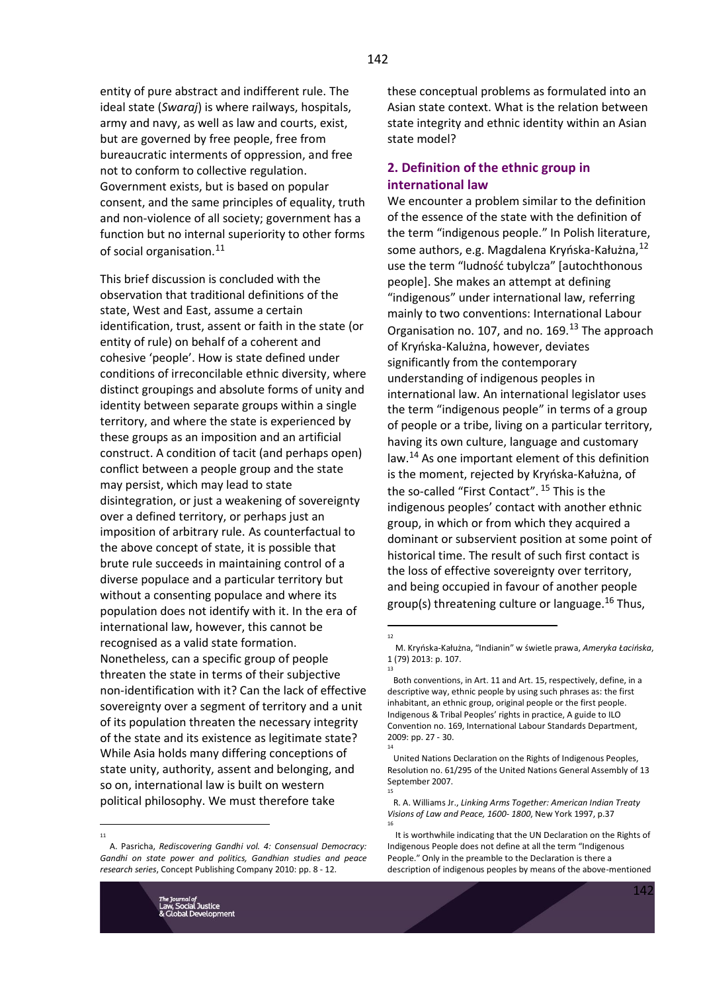entity of pure abstract and indifferent rule. The ideal state (*Swaraj*) is where railways, hospitals, army and navy, as well as law and courts, exist, but are governed by free people, free from bureaucratic interments of oppression, and free not to conform to collective regulation. Government exists, but is based on popular consent, and the same principles of equality, truth and non-violence of all society; government has a function but no internal superiority to other forms of social organisation.<sup>11</sup>

This brief discussion is concluded with the observation that traditional definitions of the state, West and East, assume a certain identification, trust, assent or faith in the state (or entity of rule) on behalf of a coherent and cohesive 'people'. How is state defined under conditions of irreconcilable ethnic diversity, where distinct groupings and absolute forms of unity and identity between separate groups within a single territory, and where the state is experienced by these groups as an imposition and an artificial construct. A condition of tacit (and perhaps open) conflict between a people group and the state may persist, which may lead to state disintegration, or just a weakening of sovereignty over a defined territory, or perhaps just an imposition of arbitrary rule. As counterfactual to the above concept of state, it is possible that brute rule succeeds in maintaining control of a diverse populace and a particular territory but without a consenting populace and where its population does not identify with it. In the era of international law, however, this cannot be recognised as a valid state formation. Nonetheless, can a specific group of people threaten the state in terms of their subjective non-identification with it? Can the lack of effective sovereignty over a segment of territory and a unit of its population threaten the necessary integrity of the state and its existence as legitimate state? While Asia holds many differing conceptions of state unity, authority, assent and belonging, and so on, international law is built on western political philosophy. We must therefore take

A. Pasricha, *Rediscovering Gandhi vol. 4: Consensual Democracy: Gandhi on state power and politics, Gandhian studies and peace research series*, Concept Publishing Company 2010: pp. 8 - 12.

these conceptual problems as formulated into an Asian state context. What is the relation between state integrity and ethnic identity within an Asian state model?

# **2. Definition of the ethnic group in international law**

We encounter a problem similar to the definition of the essence of the state with the definition of the term "indigenous people." In Polish literature, some authors, e.g. Magdalena Kryńska-Kałużna, $^{12}$ use the term "ludność tubylcza" [autochthonous people]. She makes an attempt at defining "indigenous" under international law, referring mainly to two conventions: International Labour Organisation no. 107, and no.  $169<sup>13</sup>$  The approach of Kryńska-Kalużna, however, deviates significantly from the contemporary understanding of indigenous peoples in international law. An international legislator uses the term "indigenous people" in terms of a group of people or a tribe, living on a particular territory, having its own culture, language and customary law.<sup>14</sup> As one important element of this definition is the moment, rejected by Kryńska-Kałużna, of the so-called "First Contact". <sup>15</sup> This is the indigenous peoples' contact with another ethnic group, in which or from which they acquired a dominant or subservient position at some point of historical time. The result of such first contact is the loss of effective sovereignty over territory, and being occupied in favour of another people group(s) threatening culture or language.<sup>16</sup> Thus,

12

13

14

15

M. Kryńska-Kałużna, "Indianin" w świetle prawa, *Ameryka Łacińska*, 1 (79) 2013: p. 107.

Both conventions, in Art. 11 and Art. 15, respectively, define, in a descriptive way, ethnic people by using such phrases as: the first inhabitant, an ethnic group, original people or the first people. Indigenous & Tribal Peoples' rights in practice, A guide to ILO Convention no. 169, International Labour Standards Department, 2009: pp. 27 - 30.

United Nations Declaration on the Rights of Indigenous Peoples, Resolution no. 61/295 of the United Nations General Assembly of 13 September 2007.

R. A. Williams Jr., *Linking Arms Together: American Indian Treaty Visions of Law and Peace, 1600- 1800*, New York 1997, p.37 16

It is worthwhile indicating that the UN Declaration on the Rights of Indigenous People does not define at all the term "Indigenous People." Only in the preamble to the Declaration is there a description of indigenous peoples by means of the above-mentioned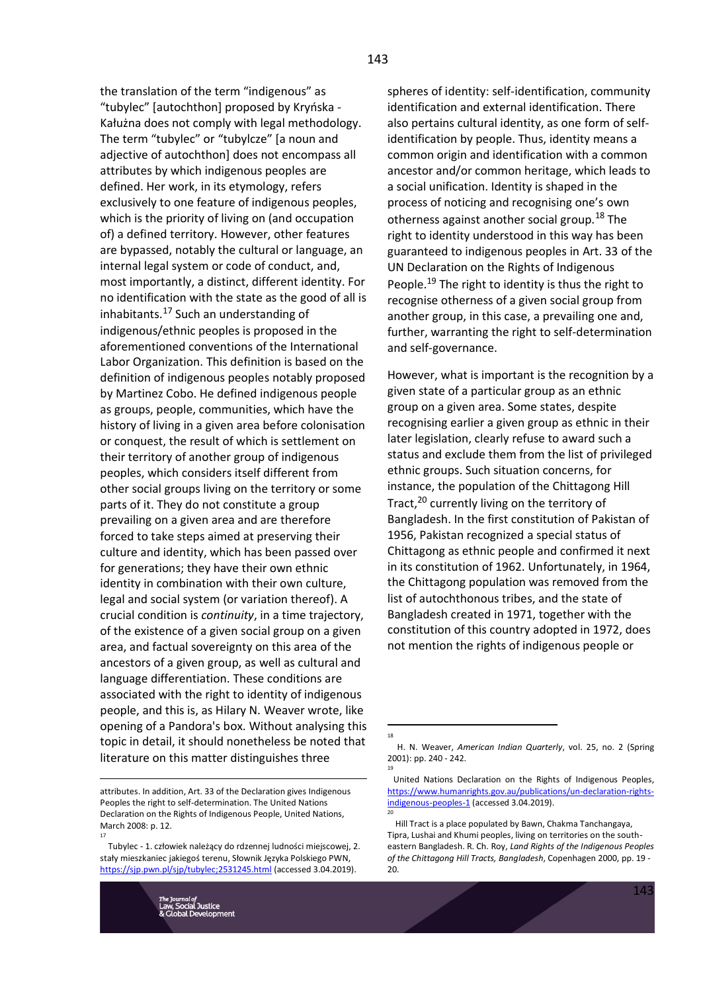the translation of the term "indigenous" as "tubylec" [autochthon] proposed by Kryńska - Kałużna does not comply with legal methodology. The term "tubylec" or "tubylcze" [a noun and adjective of autochthon] does not encompass all attributes by which indigenous peoples are defined. Her work, in its etymology, refers exclusively to one feature of indigenous peoples, which is the priority of living on (and occupation of) a defined territory. However, other features are bypassed, notably the cultural or language, an internal legal system or code of conduct, and, most importantly, a distinct, different identity. For no identification with the state as the good of all is inhabitants.<sup>17</sup> Such an understanding of indigenous/ethnic peoples is proposed in the aforementioned conventions of the International Labor Organization. This definition is based on the definition of indigenous peoples notably proposed by Martinez Cobo. He defined indigenous people as groups, people, communities, which have the history of living in a given area before colonisation or conquest, the result of which is settlement on their territory of another group of indigenous peoples, which considers itself different from other social groups living on the territory or some parts of it. They do not constitute a group prevailing on a given area and are therefore forced to take steps aimed at preserving their culture and identity, which has been passed over for generations; they have their own ethnic identity in combination with their own culture, legal and social system (or variation thereof). A crucial condition is *continuity*, in a time trajectory, of the existence of a given social group on a given area, and factual sovereignty on this area of the ancestors of a given group, as well as cultural and language differentiation. These conditions are associated with the right to identity of indigenous people, and this is, as Hilary N. Weaver wrote, like opening of a Pandora's box. Without analysing this topic in detail, it should nonetheless be noted that literature on this matter distinguishes three

spheres of identity: self-identification, community identification and external identification. There also pertains cultural identity, as one form of selfidentification by people. Thus, identity means a common origin and identification with a common ancestor and/or common heritage, which leads to a social unification. Identity is shaped in the process of noticing and recognising one's own otherness against another social group.<sup>18</sup> The right to identity understood in this way has been guaranteed to indigenous peoples in Art. 33 of the UN Declaration on the Rights of Indigenous People.<sup>19</sup> The right to identity is thus the right to recognise otherness of a given social group from another group, in this case, a prevailing one and, further, warranting the right to self-determination and self-governance.

However, what is important is the recognition by a given state of a particular group as an ethnic group on a given area. Some states, despite recognising earlier a given group as ethnic in their later legislation, clearly refuse to award such a status and exclude them from the list of privileged ethnic groups. Such situation concerns, for instance, the population of the Chittagong Hill Tract.<sup>20</sup> currently living on the territory of Bangladesh. In the first constitution of Pakistan of 1956, Pakistan recognized a special status of Chittagong as ethnic people and confirmed it next in its constitution of 1962. Unfortunately, in 1964, the Chittagong population was removed from the list of autochthonous tribes, and the state of Bangladesh created in 1971, together with the constitution of this country adopted in 1972, does not mention the rights of indigenous people or

attributes. In addition, Art. 33 of the Declaration gives Indigenous Peoples the right to self-determination. The United Nations Declaration on the Rights of Indigenous People, United Nations, March 2008: p. 12. 17

Tubylec - 1. człowiek należący do rdzennej ludności miejscowej, 2. stały mieszkaniec jakiegoś terenu, Słownik Języka Polskiego PWN, <https://sjp.pwn.pl/sjp/tubylec;2531245.html> (accessed 3.04.2019).

H. N. Weaver, *American Indian Quarterly*, vol. 25, no. 2 (Spring 2001): pp. 240 - 242. 19

United Nations Declaration on the Rights of Indigenous Peoples, [https://www.humanrights.gov.au/publications/un-declaration-rights](https://www.humanrights.gov.au/publications/un-declaration-rights-indigenous-peoples-1)[indigenous-peoples-1](https://www.humanrights.gov.au/publications/un-declaration-rights-indigenous-peoples-1) (accessed 3.04.2019). 20

Hill Tract is a place populated by Bawn, Chakma Tanchangaya, Tipra, Lushai and Khumi peoples, living on territories on the southeastern Bangladesh. R. Ch. Roy, *Land Rights of the Indigenous Peoples of the Chittagong Hill Tracts, Bangladesh*, Copenhagen 2000, pp. 19 - 20.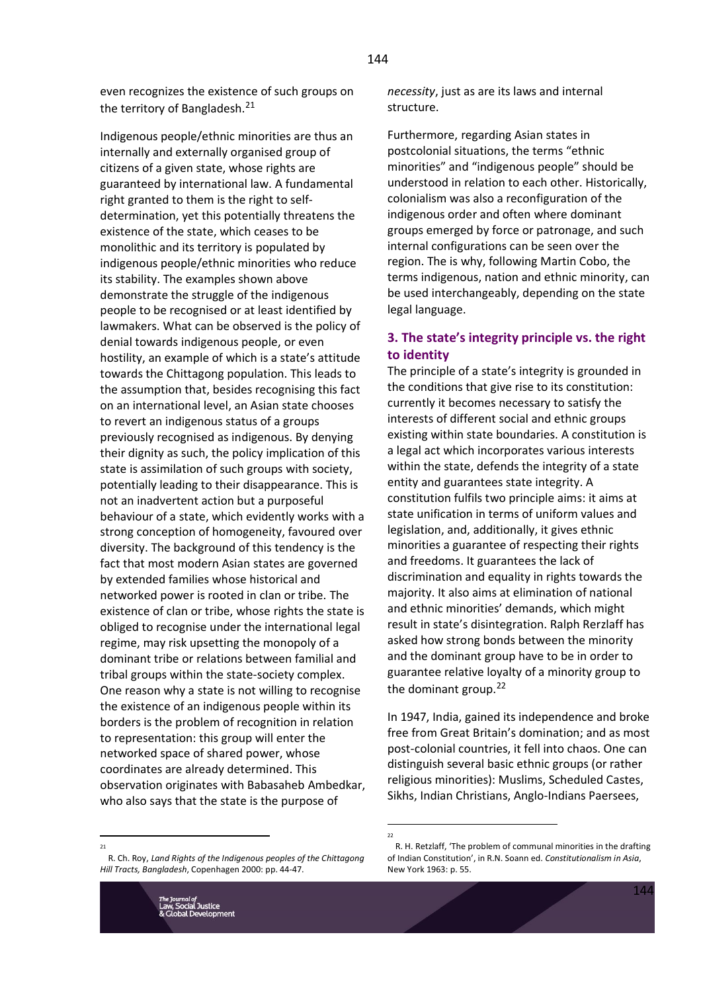144

even recognizes the existence of such groups on the territory of Bangladesh.<sup>21</sup>

Indigenous people/ethnic minorities are thus an internally and externally organised group of citizens of a given state, whose rights are guaranteed by international law. A fundamental right granted to them is the right to selfdetermination, yet this potentially threatens the existence of the state, which ceases to be monolithic and its territory is populated by indigenous people/ethnic minorities who reduce its stability. The examples shown above demonstrate the struggle of the indigenous people to be recognised or at least identified by lawmakers. What can be observed is the policy of denial towards indigenous people, or even hostility, an example of which is a state's attitude towards the Chittagong population. This leads to the assumption that, besides recognising this fact on an international level, an Asian state chooses to revert an indigenous status of a groups previously recognised as indigenous. By denying their dignity as such, the policy implication of this state is assimilation of such groups with society, potentially leading to their disappearance. This is not an inadvertent action but a purposeful behaviour of a state, which evidently works with a strong conception of homogeneity, favoured over diversity. The background of this tendency is the fact that most modern Asian states are governed by extended families whose historical and networked power is rooted in clan or tribe. The existence of clan or tribe, whose rights the state is obliged to recognise under the international legal regime, may risk upsetting the monopoly of a dominant tribe or relations between familial and tribal groups within the state-society complex. One reason why a state is not willing to recognise the existence of an indigenous people within its borders is the problem of recognition in relation to representation: this group will enter the networked space of shared power, whose coordinates are already determined. This observation originates with Babasaheb Ambedkar, who also says that the state is the purpose of

*necessity*, just as are its laws and internal structure.

Furthermore, regarding Asian states in postcolonial situations, the terms "ethnic minorities" and "indigenous people" should be understood in relation to each other. Historically, colonialism was also a reconfiguration of the indigenous order and often where dominant groups emerged by force or patronage, and such internal configurations can be seen over the region. The is why, following Martin Cobo, the terms indigenous, nation and ethnic minority, can be used interchangeably, depending on the state legal language.

# **3. The state's integrity principle vs. the right to identity**

The principle of a state's integrity is grounded in the conditions that give rise to its constitution: currently it becomes necessary to satisfy the interests of different social and ethnic groups existing within state boundaries. A constitution is a legal act which incorporates various interests within the state, defends the integrity of a state entity and guarantees state integrity. A constitution fulfils two principle aims: it aims at state unification in terms of uniform values and legislation, and, additionally, it gives ethnic minorities a guarantee of respecting their rights and freedoms. It guarantees the lack of discrimination and equality in rights towards the majority. It also aims at elimination of national and ethnic minorities' demands, which might result in state's disintegration. Ralph Rerzlaff has asked how strong bonds between the minority and the dominant group have to be in order to guarantee relative loyalty of a minority group to the dominant group.<sup>22</sup>

In 1947, India, gained its independence and broke free from Great Britain's domination; and as most post-colonial countries, it fell into chaos. One can distinguish several basic ethnic groups (or rather religious minorities): Muslims, Scheduled Castes, Sikhs, Indian Christians, Anglo-Indians Paersees,

R. H. Retzlaff, 'The problem of communal minorities in the drafting

<sup>21</sup> R. Ch. Roy, *Land Rights of the Indigenous peoples of the Chittagong* 

*Hill Tracts, Bangladesh*, Copenhagen 2000: pp. 44-47.

of Indian Constitution', in R.N. Soann ed. *Constitutionalism in Asia*, New York 1963: p. 55.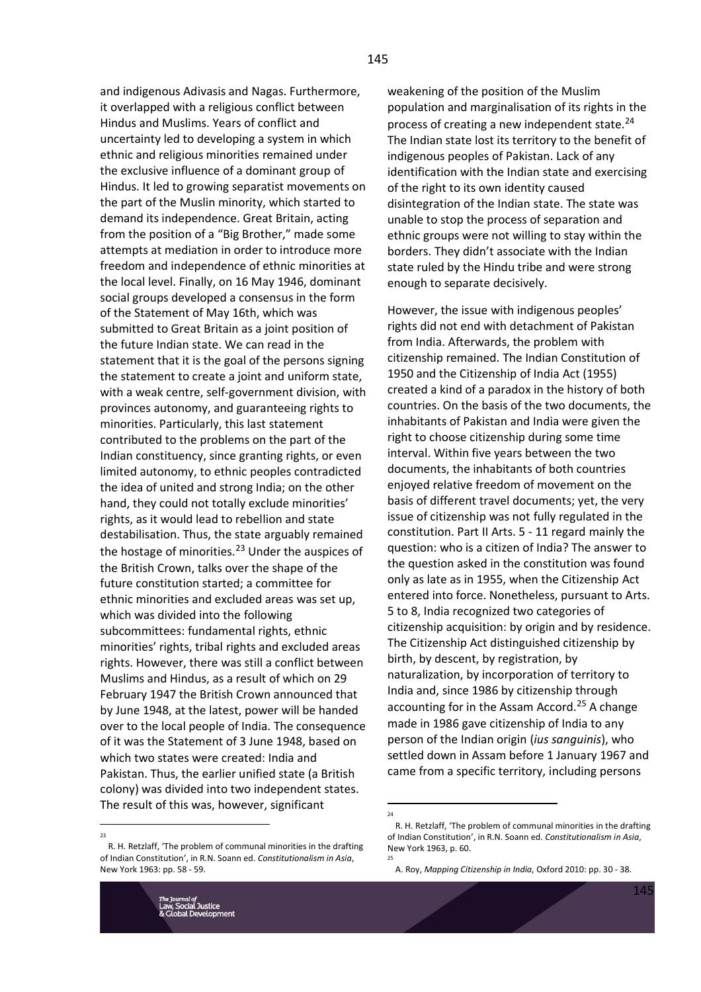and indigenous Adivasis and Nagas. Furthermore, it overlapped with a religious conflict between Hindus and Muslims. Years of conflict and uncertainty led to developing a system in which ethnic and religious minorities remained under the exclusive influence of a dominant group of Hindus. It led to growing separatist movements on the part of the Muslin minority, which started to demand its independence. Great Britain, acting from the position of a "Big Brother," made some attempts at mediation in order to introduce more freedom and independence of ethnic minorities at the local level. Finally, on 16 May 1946, dominant social groups developed a consensus in the form of the Statement of May 16th, which was submitted to Great Britain as a joint position of the future Indian state. We can read in the statement that it is the goal of the persons signing the statement to create a joint and uniform state, with a weak centre, self-government division, with provinces autonomy, and guaranteeing rights to minorities. Particularly, this last statement contributed to the problems on the part of the Indian constituency, since granting rights, or even limited autonomy, to ethnic peoples contradicted the idea of united and strong India; on the other hand, they could not totally exclude minorities' rights, as it would lead to rebellion and state destabilisation. Thus, the state arguably remained the hostage of minorities. $^{23}$  Under the auspices of the British Crown, talks over the shape of the future constitution started; a committee for ethnic minorities and excluded areas was set up, which was divided into the following subcommittees: fundamental rights, ethnic minorities' rights, tribal rights and excluded areas rights. However, there was still a conflict between Muslims and Hindus, as a result of which on 29 February 1947 the British Crown announced that by June 1948, at the latest, power will be handed over to the local people of India. The consequence of it was the Statement of 3 June 1948, based on which two states were created: India and Pakistan. Thus, the earlier unified state (a British colony) was divided into two independent states. The result of this was, however, significant

weakening of the position of the Muslim population and marginalisation of its rights in the process of creating a new independent state. $24$ The Indian state lost its territory to the benefit of indigenous peoples of Pakistan. Lack of any identification with the Indian state and exercising of the right to its own identity caused disintegration of the Indian state. The state was unable to stop the process of separation and ethnic groups were not willing to stay within the borders. They didn't associate with the Indian state ruled by the Hindu tribe and were strong enough to separate decisively.

However, the issue with indigenous peoples' rights did not end with detachment of Pakistan from India. Afterwards, the problem with citizenship remained. The Indian Constitution of 1950 and the Citizenship of India Act (1955) created a kind of a paradox in the history of both countries. On the basis of the two documents, the inhabitants of Pakistan and India were given the right to choose citizenship during some time interval. Within five years between the two documents, the inhabitants of both countries enjoyed relative freedom of movement on the basis of different travel documents; yet, the very issue of citizenship was not fully regulated in the constitution. Part II Arts. 5 - 11 regard mainly the question: who is a citizen of India? The answer to the question asked in the constitution was found only as late as in 1955, when the Citizenship Act entered into force. Nonetheless, pursuant to Arts. 5 to 8, India recognized two categories of citizenship acquisition: by origin and by residence. The Citizenship Act distinguished citizenship by birth, by descent, by registration, by naturalization, by incorporation of territory to India and, since 1986 by citizenship through accounting for in the Assam Accord.<sup>25</sup> A change made in 1986 gave citizenship of India to any person of the Indian origin (*ius sanguinis*), who settled down in Assam before 1 January 1967 and came from a specific territory, including persons

 $24$ 

25

R. H. Retzlaff, 'The problem of communal minorities in the drafting of Indian Constitution', in R.N. Soann ed. *Constitutionalism in Asia*, New York 1963: pp. 58 - 59.

R. H. Retzlaff, 'The problem of communal minorities in the drafting of Indian Constitution', in R.N. Soann ed. *Constitutionalism in Asia*, New York 1963, p. 60.

A. Roy, *Mapping Citizenship in India*, Oxford 2010: pp. 30 - 38.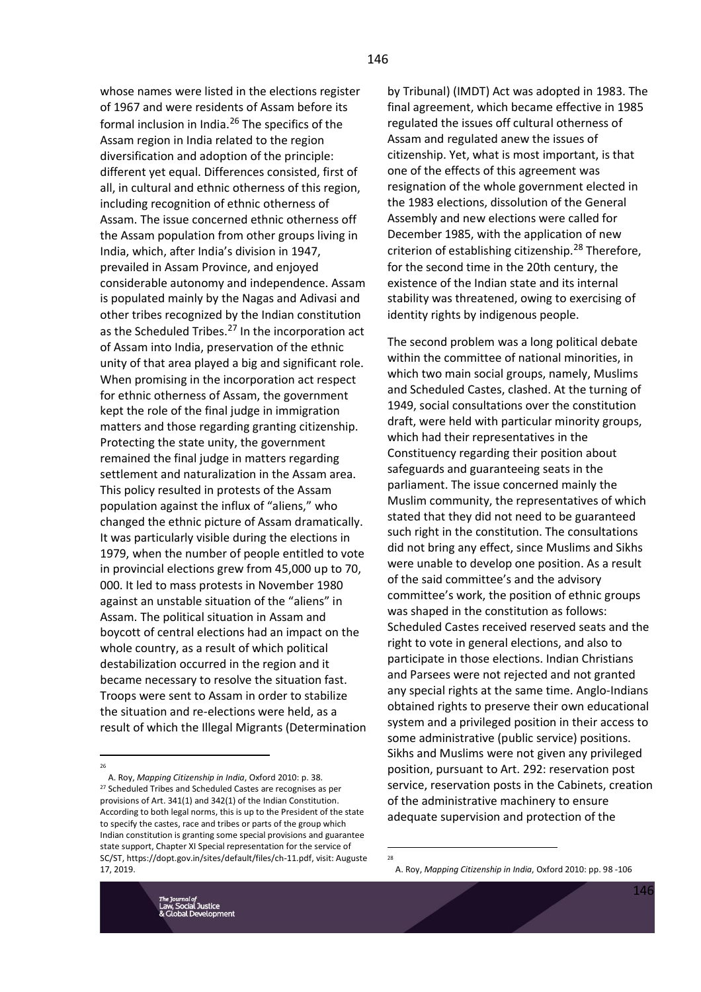whose names were listed in the elections register of 1967 and were residents of Assam before its formal inclusion in India.<sup>26</sup> The specifics of the Assam region in India related to the region diversification and adoption of the principle: different yet equal. Differences consisted, first of all, in cultural and ethnic otherness of this region, including recognition of ethnic otherness of Assam. The issue concerned ethnic otherness off the Assam population from other groups living in India, which, after India's division in 1947, prevailed in Assam Province, and enjoyed considerable autonomy and independence. Assam is populated mainly by the Nagas and Adivasi and other tribes recognized by the Indian constitution as the Scheduled Tribes.<sup>27</sup> In the incorporation act of Assam into India, preservation of the ethnic unity of that area played a big and significant role. When promising in the incorporation act respect for ethnic otherness of Assam, the government kept the role of the final judge in immigration matters and those regarding granting citizenship. Protecting the state unity, the government remained the final judge in matters regarding settlement and naturalization in the Assam area. This policy resulted in protests of the Assam population against the influx of "aliens," who changed the ethnic picture of Assam dramatically. It was particularly visible during the elections in 1979, when the number of people entitled to vote in provincial elections grew from 45,000 up to 70, 000. It led to mass protests in November 1980 against an unstable situation of the "aliens" in Assam. The political situation in Assam and boycott of central elections had an impact on the whole country, as a result of which political destabilization occurred in the region and it became necessary to resolve the situation fast. Troops were sent to Assam in order to stabilize the situation and re-elections were held, as a result of which the Illegal Migrants (Determination

A. Roy, *Mapping Citizenship in India*, Oxford 2010: p. 38. <sup>27</sup> Scheduled Tribes and Scheduled Castes are recognises as per provisions of Art. 341(1) and 342(1) of the Indian Constitution. According to both legal norms, this is up to the President of the state to specify the castes, race and tribes or parts of the group which Indian constitution is granting some special provisions and guarantee state support, Chapter XI Special representation for the service of SC/ST, https://dopt.gov.in/sites/default/files/ch-11.pdf, visit: Auguste 17, 2019.

by Tribunal) (IMDT) Act was adopted in 1983. The final agreement, which became effective in 1985 regulated the issues off cultural otherness of Assam and regulated anew the issues of citizenship. Yet, what is most important, is that one of the effects of this agreement was resignation of the whole government elected in the 1983 elections, dissolution of the General Assembly and new elections were called for December 1985, with the application of new criterion of establishing citizenship.<sup>28</sup> Therefore, for the second time in the 20th century, the existence of the Indian state and its internal stability was threatened, owing to exercising of identity rights by indigenous people.

The second problem was a long political debate within the committee of national minorities, in which two main social groups, namely, Muslims and Scheduled Castes, clashed. At the turning of 1949, social consultations over the constitution draft, were held with particular minority groups, which had their representatives in the Constituency regarding their position about safeguards and guaranteeing seats in the parliament. The issue concerned mainly the Muslim community, the representatives of which stated that they did not need to be guaranteed such right in the constitution. The consultations did not bring any effect, since Muslims and Sikhs were unable to develop one position. As a result of the said committee's and the advisory committee's work, the position of ethnic groups was shaped in the constitution as follows: Scheduled Castes received reserved seats and the right to vote in general elections, and also to participate in those elections. Indian Christians and Parsees were not rejected and not granted any special rights at the same time. Anglo-Indians obtained rights to preserve their own educational system and a privileged position in their access to some administrative (public service) positions. Sikhs and Muslims were not given any privileged position, pursuant to Art. 292: reservation post service, reservation posts in the Cabinets, creation of the administrative machinery to ensure adequate supervision and protection of the



<sup>26</sup>

<sup>28</sup>

A. Roy, *Mapping Citizenship in India*, Oxford 2010: pp. 98 -106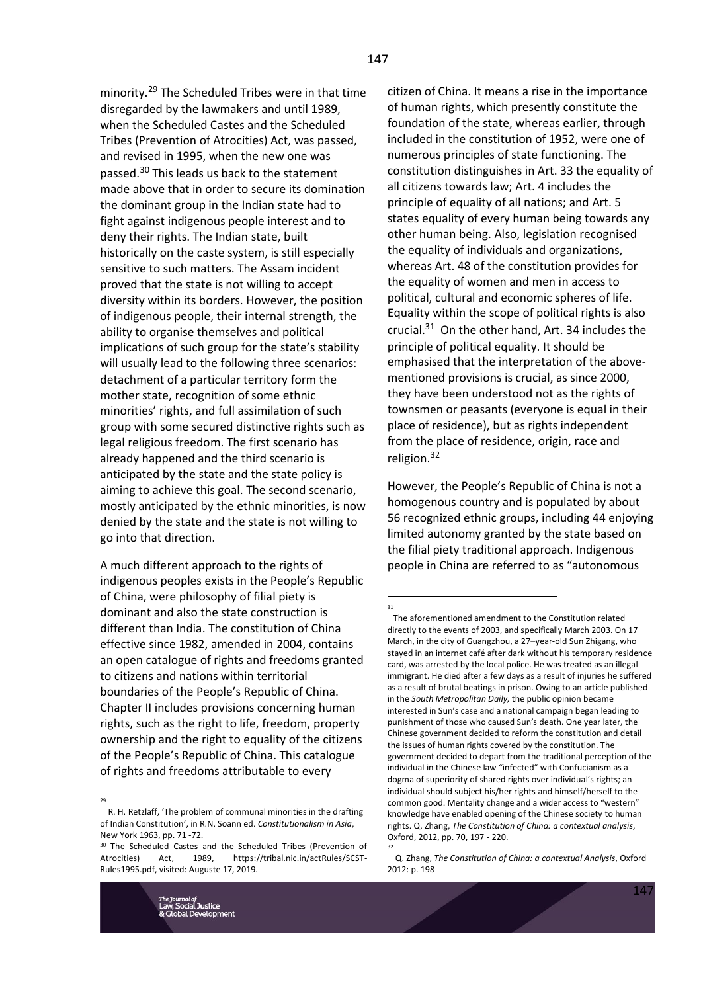minority.<sup>29</sup> The Scheduled Tribes were in that time disregarded by the lawmakers and until 1989, when the Scheduled Castes and the Scheduled Tribes (Prevention of Atrocities) Act, was passed, and revised in 1995, when the new one was passed.<sup>30</sup> This leads us back to the statement made above that in order to secure its domination the dominant group in the Indian state had to fight against indigenous people interest and to deny their rights. The Indian state, built historically on the caste system, is still especially sensitive to such matters. The Assam incident proved that the state is not willing to accept diversity within its borders. However, the position of indigenous people, their internal strength, the ability to organise themselves and political implications of such group for the state's stability will usually lead to the following three scenarios: detachment of a particular territory form the mother state, recognition of some ethnic minorities' rights, and full assimilation of such group with some secured distinctive rights such as legal religious freedom. The first scenario has already happened and the third scenario is anticipated by the state and the state policy is aiming to achieve this goal. The second scenario, mostly anticipated by the ethnic minorities, is now denied by the state and the state is not willing to go into that direction.

A much different approach to the rights of indigenous peoples exists in the People's Republic of China, were philosophy of filial piety is dominant and also the state construction is different than India. The constitution of China effective since 1982, amended in 2004, contains an open catalogue of rights and freedoms granted to citizens and nations within territorial boundaries of the People's Republic of China. Chapter II includes provisions concerning human rights, such as the right to life, freedom, property ownership and the right to equality of the citizens of the People's Republic of China. This catalogue of rights and freedoms attributable to every

citizen of China. It means a rise in the importance of human rights, which presently constitute the foundation of the state, whereas earlier, through included in the constitution of 1952, were one of numerous principles of state functioning. The constitution distinguishes in Art. 33 the equality of all citizens towards law; Art. 4 includes the principle of equality of all nations; and Art. 5 states equality of every human being towards any other human being. Also, legislation recognised the equality of individuals and organizations, whereas Art. 48 of the constitution provides for the equality of women and men in access to political, cultural and economic spheres of life. Equality within the scope of political rights is also crucial.<sup>31</sup> On the other hand, Art. 34 includes the principle of political equality. It should be emphasised that the interpretation of the abovementioned provisions is crucial, as since 2000, they have been understood not as the rights of townsmen or peasants (everyone is equal in their place of residence), but as rights independent from the place of residence, origin, race and religion.<sup>32</sup>

However, the People's Republic of China is not a homogenous country and is populated by about 56 recognized ethnic groups, including 44 enjoying limited autonomy granted by the state based on the filial piety traditional approach. Indigenous people in China are referred to as "autonomous

<sup>29</sup>

R. H. Retzlaff, 'The problem of communal minorities in the drafting of Indian Constitution', in R.N. Soann ed. *Constitutionalism in Asia*, New York 1963, pp. 71 -72.

<sup>&</sup>lt;sup>30</sup> The Scheduled Castes and the Scheduled Tribes (Prevention of Atrocities) Act, 1989, https://tribal.nic.in/actRules/SCST-Rules1995.pdf, visited: Auguste 17, 2019.

The aforementioned amendment to the Constitution related directly to the events of 2003, and specifically March 2003. On 17 March, in the city of Guangzhou, a 27–year-old Sun Zhigang, who stayed in an internet café after dark without his temporary residence card, was arrested by the local police. He was treated as an illegal immigrant. He died after a few days as a result of injuries he suffered as a result of brutal beatings in prison. Owing to an article published in the *South Metropolitan Daily,* the public opinion became interested in Sun's case and a national campaign began leading to punishment of those who caused Sun's death. One year later, the Chinese government decided to reform the constitution and detail the issues of human rights covered by the constitution. The government decided to depart from the traditional perception of the individual in the Chinese law "infected" with Confucianism as a dogma of superiority of shared rights over individual's rights; an individual should subject his/her rights and himself/herself to the common good. Mentality change and a wider access to "western" knowledge have enabled opening of the Chinese society to human rights. Q. Zhang, *The Constitution of China: a contextual analysis*, Oxford, 2012, pp. 70, 197 - 220. 32

Q. Zhang, *The Constitution of China: a contextual Analysis*, Oxford 2012: p. 198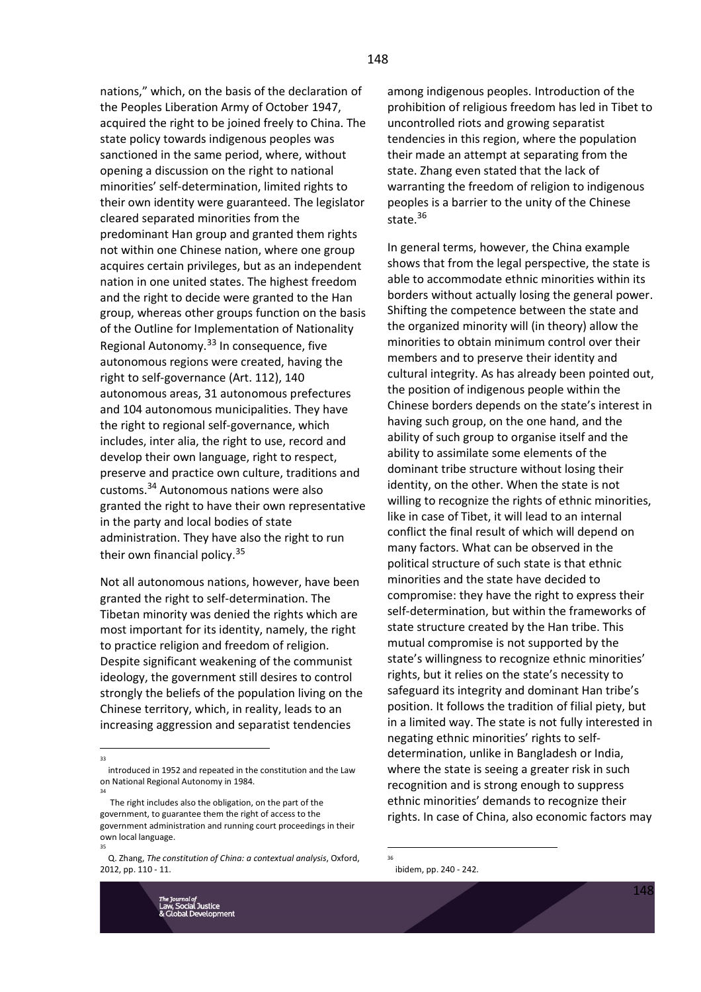nations," which, on the basis of the declaration of the Peoples Liberation Army of October 1947, acquired the right to be joined freely to China. The state policy towards indigenous peoples was sanctioned in the same period, where, without opening a discussion on the right to national minorities' self-determination, limited rights to their own identity were guaranteed. The legislator cleared separated minorities from the predominant Han group and granted them rights not within one Chinese nation, where one group acquires certain privileges, but as an independent nation in one united states. The highest freedom and the right to decide were granted to the Han group, whereas other groups function on the basis of the Outline for Implementation of Nationality Regional Autonomy.<sup>33</sup> In consequence, five autonomous regions were created, having the right to self-governance (Art. 112), 140 autonomous areas, 31 autonomous prefectures and 104 autonomous municipalities. They have the right to regional self-governance, which includes, inter alia, the right to use, record and develop their own language, right to respect, preserve and practice own culture, traditions and customs.<sup>34</sup> Autonomous nations were also granted the right to have their own representative in the party and local bodies of state administration. They have also the right to run their own financial policy.<sup>35</sup>

Not all autonomous nations, however, have been granted the right to self-determination. The Tibetan minority was denied the rights which are most important for its identity, namely, the right to practice religion and freedom of religion. Despite significant weakening of the communist ideology, the government still desires to control strongly the beliefs of the population living on the Chinese territory, which, in reality, leads to an increasing aggression and separatist tendencies

35

among indigenous peoples. Introduction of the prohibition of religious freedom has led in Tibet to uncontrolled riots and growing separatist tendencies in this region, where the population their made an attempt at separating from the state. Zhang even stated that the lack of warranting the freedom of religion to indigenous peoples is a barrier to the unity of the Chinese state.<sup>36</sup>

In general terms, however, the China example shows that from the legal perspective, the state is able to accommodate ethnic minorities within its borders without actually losing the general power. Shifting the competence between the state and the organized minority will (in theory) allow the minorities to obtain minimum control over their members and to preserve their identity and cultural integrity. As has already been pointed out, the position of indigenous people within the Chinese borders depends on the state's interest in having such group, on the one hand, and the ability of such group to organise itself and the ability to assimilate some elements of the dominant tribe structure without losing their identity, on the other. When the state is not willing to recognize the rights of ethnic minorities, like in case of Tibet, it will lead to an internal conflict the final result of which will depend on many factors. What can be observed in the political structure of such state is that ethnic minorities and the state have decided to compromise: they have the right to express their self-determination, but within the frameworks of state structure created by the Han tribe. This mutual compromise is not supported by the state's willingness to recognize ethnic minorities' rights, but it relies on the state's necessity to safeguard its integrity and dominant Han tribe's position. It follows the tradition of filial piety, but in a limited way. The state is not fully interested in negating ethnic minorities' rights to selfdetermination, unlike in Bangladesh or India, where the state is seeing a greater risk in such recognition and is strong enough to suppress ethnic minorities' demands to recognize their rights. In case of China, also economic factors may

<sup>33</sup>

introduced in 1952 and repeated in the constitution and the Law on National Regional Autonomy in 1984. 34

The right includes also the obligation, on the part of the government, to guarantee them the right of access to the government administration and running court proceedings in their own local language.

Q. Zhang, *The constitution of China: a contextual analysis*, Oxford, 2012, pp. 110 - 11.

<sup>36</sup> ibidem, pp. 240 - 242.